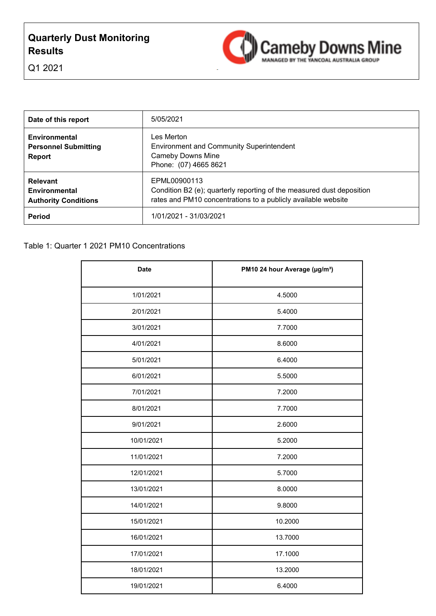# **Quarterly Dust Monitoring Results**



Q1 2021

| Date of this report                                                  | 5/05/2021                                                                                                                                              |
|----------------------------------------------------------------------|--------------------------------------------------------------------------------------------------------------------------------------------------------|
| <b>Environmental</b><br><b>Personnel Submitting</b><br><b>Report</b> | Les Merton.<br><b>Environment and Community Superintendent</b><br><b>Cameby Downs Mine</b><br>Phone: (07) 4665 8621                                    |
| <b>Relevant</b><br>Environmental<br><b>Authority Conditions</b>      | EPML00900113<br>Condition B2 (e); quarterly reporting of the measured dust deposition<br>rates and PM10 concentrations to a publicly available website |
| Period                                                               | 1/01/2021 - 31/03/2021                                                                                                                                 |

| <b>Date</b> | PM10 24 hour Average (µg/m <sup>3</sup> ) |
|-------------|-------------------------------------------|
| 1/01/2021   | 4.5000                                    |
| 2/01/2021   | 5.4000                                    |
| 3/01/2021   | 7.7000                                    |
| 4/01/2021   | 8.6000                                    |
| 5/01/2021   | 6.4000                                    |
| 6/01/2021   | 5.5000                                    |
| 7/01/2021   | 7.2000                                    |
| 8/01/2021   | 7.7000                                    |
| 9/01/2021   | 2.6000                                    |
| 10/01/2021  | 5.2000                                    |
| 11/01/2021  | 7.2000                                    |
| 12/01/2021  | 5.7000                                    |
| 13/01/2021  | 8.0000                                    |
| 14/01/2021  | 9.8000                                    |
| 15/01/2021  | 10.2000                                   |
| 16/01/2021  | 13.7000                                   |
| 17/01/2021  | 17.1000                                   |
| 18/01/2021  | 13.2000                                   |
| 19/01/2021  | 6.4000                                    |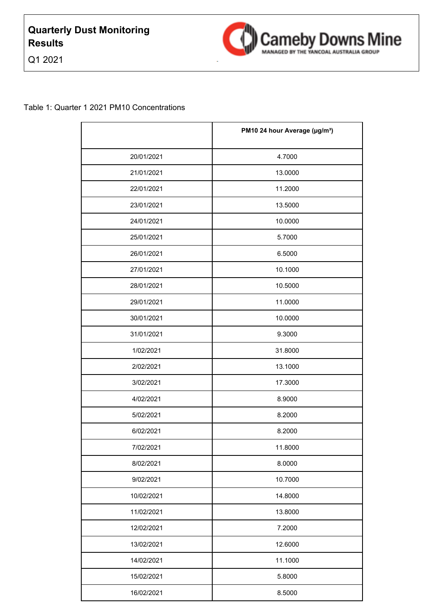



|            | PM10 24 hour Average (µg/m <sup>3</sup> ) |
|------------|-------------------------------------------|
| 20/01/2021 | 4.7000                                    |
| 21/01/2021 | 13.0000                                   |
| 22/01/2021 | 11.2000                                   |
| 23/01/2021 | 13.5000                                   |
| 24/01/2021 | 10.0000                                   |
| 25/01/2021 | 5.7000                                    |
| 26/01/2021 | 6.5000                                    |
| 27/01/2021 | 10.1000                                   |
| 28/01/2021 | 10.5000                                   |
| 29/01/2021 | 11.0000                                   |
| 30/01/2021 | 10.0000                                   |
| 31/01/2021 | 9.3000                                    |
| 1/02/2021  | 31.8000                                   |
| 2/02/2021  | 13.1000                                   |
| 3/02/2021  | 17.3000                                   |
| 4/02/2021  | 8.9000                                    |
| 5/02/2021  | 8.2000                                    |
| 6/02/2021  | 8.2000                                    |
| 7/02/2021  | 11.8000                                   |
| 8/02/2021  | 8.0000                                    |
| 9/02/2021  | 10.7000                                   |
| 10/02/2021 | 14.8000                                   |
| 11/02/2021 | 13.8000                                   |
| 12/02/2021 | 7.2000                                    |
| 13/02/2021 | 12.6000                                   |
| 14/02/2021 | 11.1000                                   |
| 15/02/2021 | 5.8000                                    |
| 16/02/2021 | 8.5000                                    |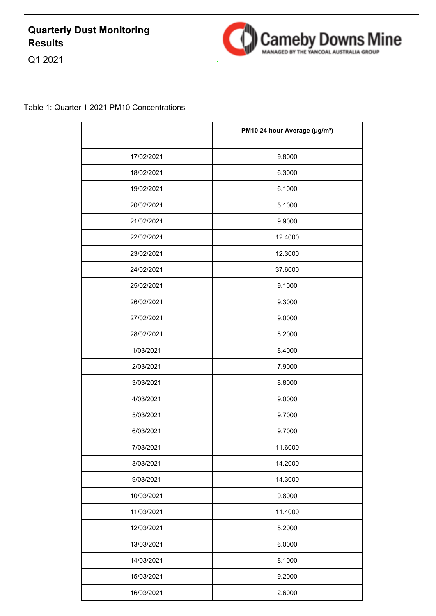



|            | PM10 24 hour Average (µg/m <sup>3</sup> ) |
|------------|-------------------------------------------|
| 17/02/2021 | 9.8000                                    |
| 18/02/2021 | 6.3000                                    |
| 19/02/2021 | 6.1000                                    |
| 20/02/2021 | 5.1000                                    |
| 21/02/2021 | 9.9000                                    |
| 22/02/2021 | 12.4000                                   |
| 23/02/2021 | 12.3000                                   |
| 24/02/2021 | 37.6000                                   |
| 25/02/2021 | 9.1000                                    |
| 26/02/2021 | 9.3000                                    |
| 27/02/2021 | 9.0000                                    |
| 28/02/2021 | 8.2000                                    |
| 1/03/2021  | 8.4000                                    |
| 2/03/2021  | 7.9000                                    |
| 3/03/2021  | 8.8000                                    |
| 4/03/2021  | 9.0000                                    |
| 5/03/2021  | 9.7000                                    |
| 6/03/2021  | 9.7000                                    |
| 7/03/2021  | 11.6000                                   |
| 8/03/2021  | 14.2000                                   |
| 9/03/2021  | 14.3000                                   |
| 10/03/2021 | 9.8000                                    |
| 11/03/2021 | 11.4000                                   |
| 12/03/2021 | 5.2000                                    |
| 13/03/2021 | 6.0000                                    |
| 14/03/2021 | 8.1000                                    |
| 15/03/2021 | 9.2000                                    |
| 16/03/2021 | 2.6000                                    |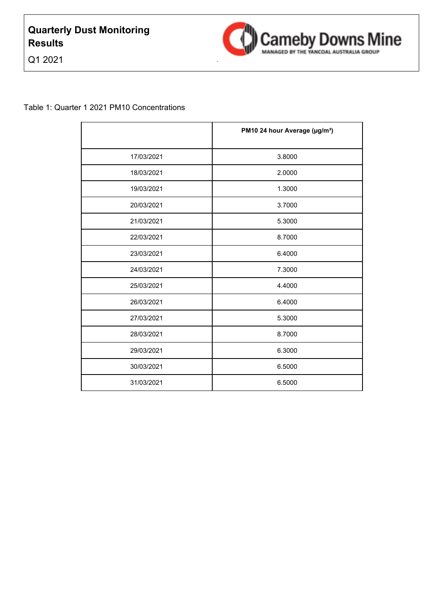



|            | PM10 24 hour Average (µg/m <sup>3</sup> ) |
|------------|-------------------------------------------|
| 17/03/2021 | 3.8000                                    |
| 18/03/2021 | 2.0000                                    |
| 19/03/2021 | 1.3000                                    |
| 20/03/2021 | 3.7000                                    |
| 21/03/2021 | 5.3000                                    |
| 22/03/2021 | 8.7000                                    |
| 23/03/2021 | 6.4000                                    |
| 24/03/2021 | 7.3000                                    |
| 25/03/2021 | 4.4000                                    |
| 26/03/2021 | 6.4000                                    |
| 27/03/2021 | 5.3000                                    |
| 28/03/2021 | 8.7000                                    |
| 29/03/2021 | 6.3000                                    |
| 30/03/2021 | 6.5000                                    |
| 31/03/2021 | 6.5000                                    |